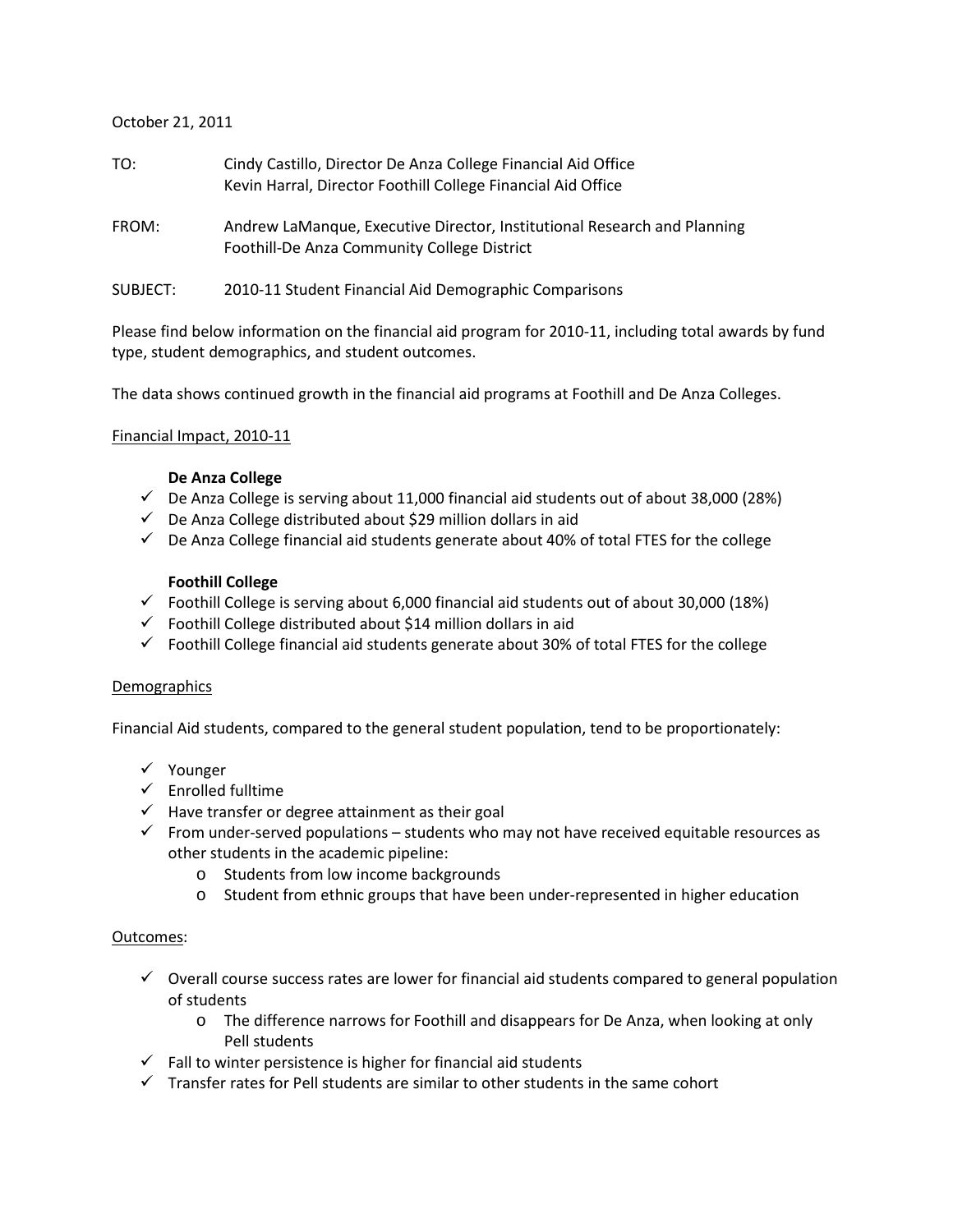#### October 21, 2011

| TO:      | Cindy Castillo, Director De Anza College Financial Aid Office<br>Kevin Harral, Director Foothill College Financial Aid Office |
|----------|-------------------------------------------------------------------------------------------------------------------------------|
| FROM:    | Andrew LaManque, Executive Director, Institutional Research and Planning<br>Foothill-De Anza Community College District       |
| SUBJECT: | 2010-11 Student Financial Aid Demographic Comparisons                                                                         |

Please find below information on the financial aid program for 2010-11, including total awards by fund type, student demographics, and student outcomes.

The data shows continued growth in the financial aid programs at Foothill and De Anza Colleges.

#### Financial Impact, 2010-11

#### **De Anza College**

- $\checkmark$  De Anza College is serving about 11,000 financial aid students out of about 38,000 (28%)
- $\checkmark$  De Anza College distributed about \$29 million dollars in aid
- $\checkmark$  De Anza College financial aid students generate about 40% of total FTES for the college

#### **Foothill College**

- $\checkmark$  Foothill College is serving about 6,000 financial aid students out of about 30,000 (18%)
- $\checkmark$  Foothill College distributed about \$14 million dollars in aid
- $\checkmark$  Foothill College financial aid students generate about 30% of total FTES for the college

#### **Demographics**

Financial Aid students, compared to the general student population, tend to be proportionately:

- Younger
- $\checkmark$  Enrolled fulltime
- $\checkmark$  Have transfer or degree attainment as their goal
- $\checkmark$  From under-served populations students who may not have received equitable resources as other students in the academic pipeline:
	- o Students from low income backgrounds
	- o Student from ethnic groups that have been under-represented in higher education

#### Outcomes:

- $\checkmark$  Overall course success rates are lower for financial aid students compared to general population of students
	- o The difference narrows for Foothill and disappears for De Anza, when looking at only Pell students
- $\checkmark$  Fall to winter persistence is higher for financial aid students
- $\checkmark$  Transfer rates for Pell students are similar to other students in the same cohort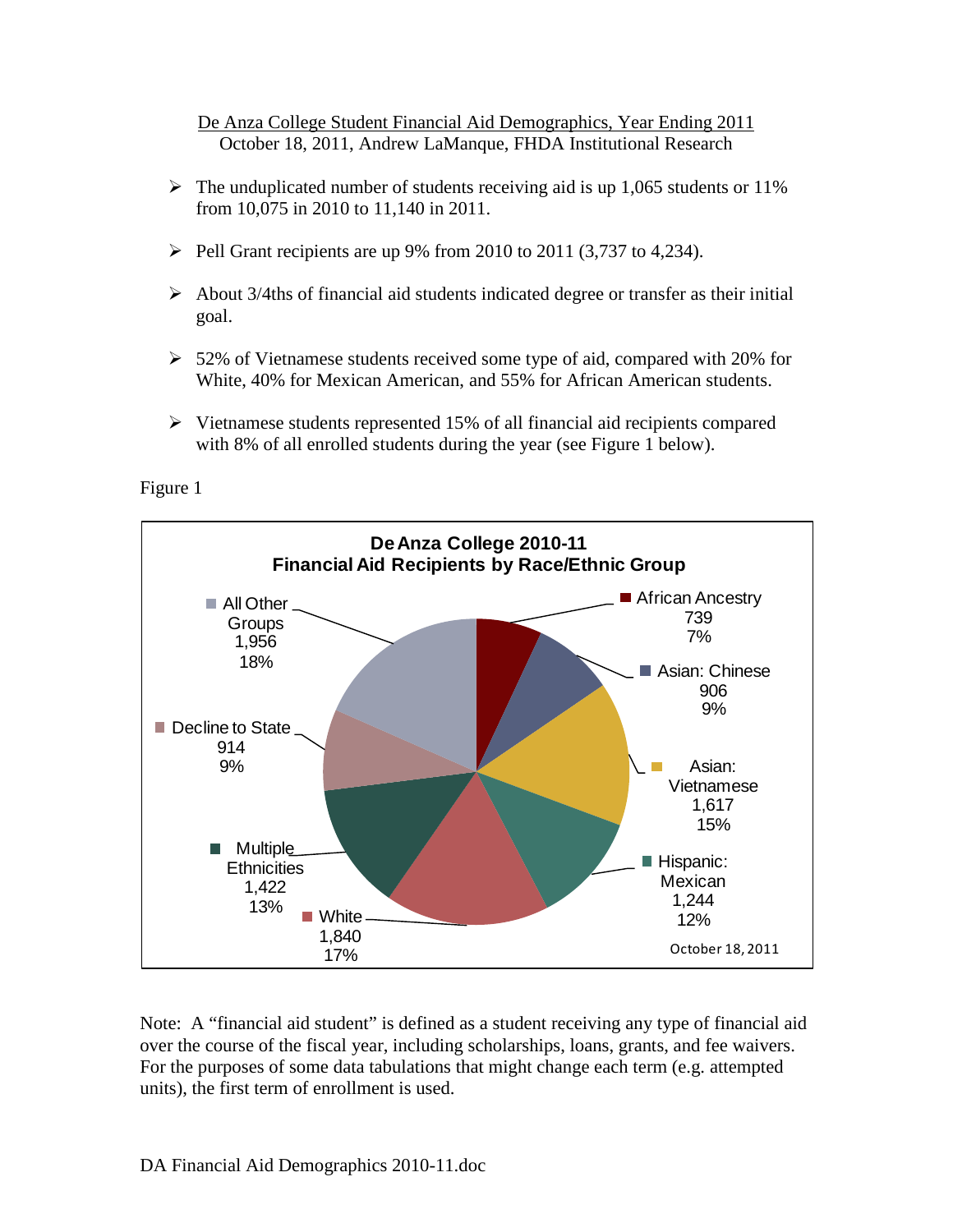October 18, 2011, Andrew LaManque, FHDA Institutional Research De Anza College Student Financial Aid Demographics, Year Ending 2011

- $\triangleright$  The unduplicated number of students receiving aid is up 1,065 students or 11% from 10,075 in 2010 to 11,140 in 2011.
- $\triangleright$  Pell Grant recipients are up 9% from 2010 to 2011 (3,737 to 4,234).
- $\triangleright$  About 3/4ths of financial aid students indicated degree or transfer as their initial goal.
- $>$  52% of Vietnamese students received some type of aid, compared with 20% for White, 40% for Mexican American, and 55% for African American students.
- $\triangleright$  Vietnamese students represented 15% of all financial aid recipients compared with 8% of all enrolled students during the year (see Figure 1 below).

Figure 1



Note: A "financial aid student" is defined as a student receiving any type of financial aid over the course of the fiscal year, including scholarships, loans, grants, and fee waivers. For the purposes of some data tabulations that might change each term (e.g. attempted units), the first term of enrollment is used.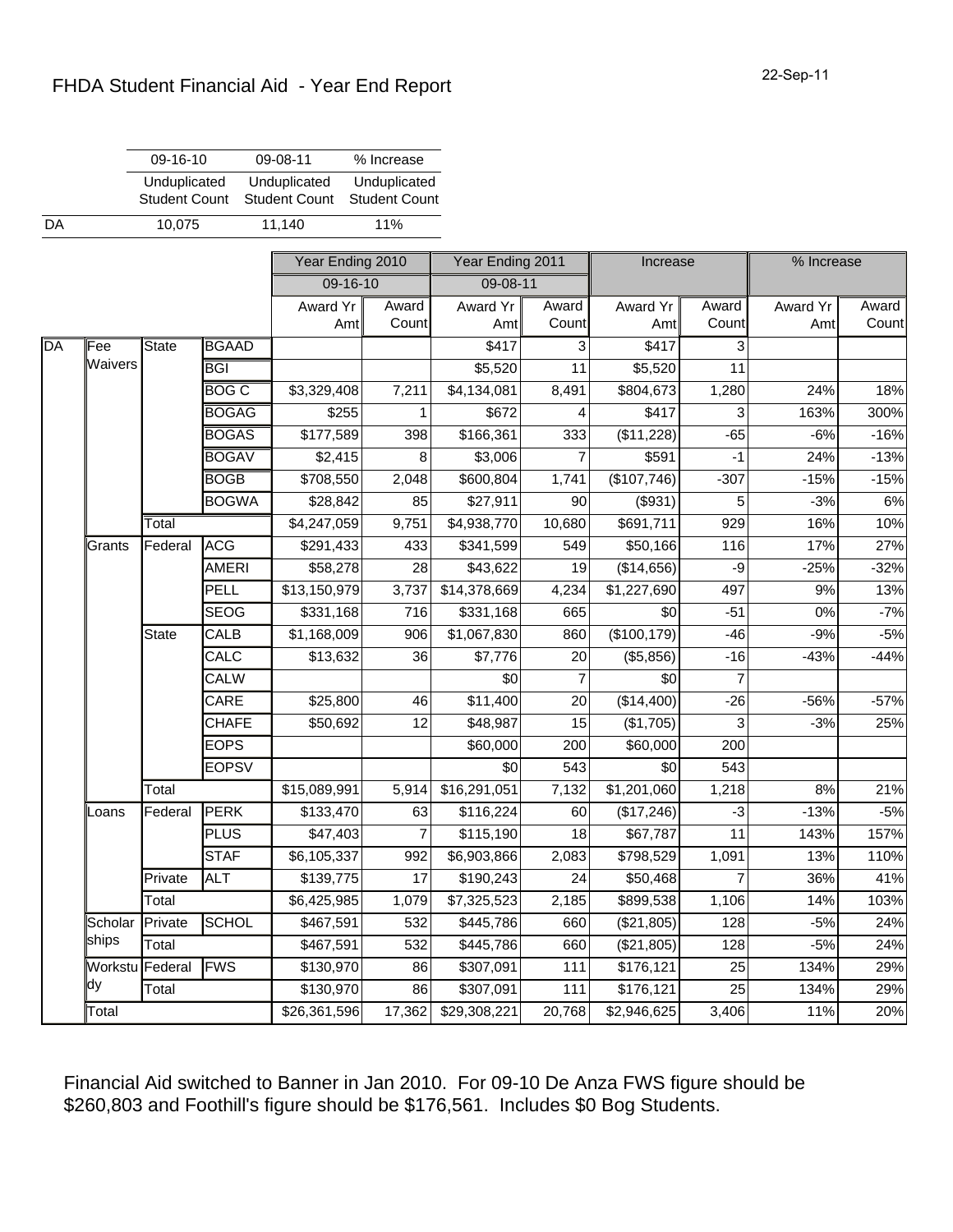|                 | 09-16-10             |              | 09-08-11             | % Increase           |                  |        |                        |                |            |        |
|-----------------|----------------------|--------------|----------------------|----------------------|------------------|--------|------------------------|----------------|------------|--------|
|                 | Unduplicated         |              | Unduplicated         | Unduplicated         |                  |        |                        |                |            |        |
|                 | <b>Student Count</b> |              | <b>Student Count</b> | <b>Student Count</b> |                  |        |                        |                |            |        |
|                 | 10,075               |              | 11,140               | 11%                  |                  |        |                        |                |            |        |
|                 |                      |              | Year Ending 2010     |                      | Year Ending 2011 |        | Increase               |                | % Increase |        |
|                 |                      |              | 09-16-10             |                      | 09-08-11         |        |                        |                |            |        |
|                 |                      |              | Award Yr             | Award                | Award Yr         | Award  | Award Yr               | Award          | Award Yr   | Award  |
|                 |                      |              | Amt                  | Count                | Amt              | Count  | Amt                    | Count          | Amt        | Count  |
| ∣Fee            | State                | BGAAD        |                      |                      | \$417            | 3      | \$417                  | 3              |            |        |
| <b>Waivers</b>  |                      | IBGI         |                      |                      | \$5,520          | 11     | \$5,520                | 11             |            |        |
|                 |                      | <b>BOG C</b> | \$3,329,408          | 7,211                | \$4,134,081      | 8,491  | \$804,673              | 1,280          | 24%        | 18%    |
|                 |                      | <b>BOGAG</b> | \$255                | 1                    | \$672            | 4      | \$417                  | 3              | 163%       | 300%   |
|                 |                      | <b>BOGAS</b> | \$177,589            | 398                  | \$166,361        | 333    | (\$11,228)             | $-65$          | $-6%$      | $-16%$ |
|                 |                      | <b>BOGAV</b> | \$2,415              | 8                    | \$3,006          | 7      | \$591                  | $-1$           | 24%        | $-13%$ |
|                 |                      | <b>BOGB</b>  | \$708,550            | 2,048                | \$600,804        | 1,741  | (\$107,746)            | $-307$         | $-15%$     | $-15%$ |
|                 |                      | <b>BOGWA</b> | \$28,842             | 85                   | \$27,911         | 90     | (\$931)                | 5              | $-3%$      | 6%     |
|                 | Total                |              | \$4,247,059          | 9,751                | \$4,938,770      | 10,680 | \$691,711              | 929            | 16%        | 10%    |
| Grants          | Federal              | <b>ACG</b>   | \$291,433            | 433                  | \$341,599        | 549    | \$50,166               | 116            | 17%        | 27%    |
|                 |                      | AMERI        | \$58,278             | 28                   | \$43,622         | 19     | (\$14,656)             | -9             | $-25%$     | $-32%$ |
|                 |                      | PELL         | \$13,150,979         | 3,737                | \$14,378,669     | 4,234  | \$1,227,690            | 497            | 9%         | 13%    |
|                 |                      | <b>SEOG</b>  | \$331,168            | 716                  | \$331,168        | 665    | \$0                    | $-51$          | 0%         | $-7%$  |
|                 | State                | CALB         | \$1,168,009          | 906                  | \$1,067,830      | 860    | (\$100, 179)           | $-46$          | $-9%$      | $-5%$  |
|                 |                      | CALC         | \$13,632             | 36                   | \$7,776          | 20     | (\$5,856)              | $-16$          | $-43%$     | $-44%$ |
|                 |                      | CALW         |                      |                      | \$0              | 7      | \$0                    | 7              |            |        |
|                 |                      | CARE         | \$25,800             | 46                   | \$11,400         | 20     | (\$14,400)             | $-26$          | -56%       | $-57%$ |
|                 |                      | CHAFE        | \$50,692             | 12                   | \$48,987         | 15     | (\$1,705)              | 3              | $-3%$      | 25%    |
|                 |                      | <b>EOPS</b>  |                      |                      | \$60,000         | 200    | \$60,000               | 200            |            |        |
|                 |                      | <b>EOPSV</b> |                      |                      | \$0              | 543    | \$0                    | 543            |            |        |
|                 | Total                |              | \$15,089,991         | 5,914                | \$16,291,051     | 7,132  | \$1,201,060            | 1,218          | 8%         | 21%    |
| Loans           | Federal              | <b>PERK</b>  | \$133,470            | 63                   | \$116,224        | 60     | $\overline{($}17,246)$ | $-3$           | $-13%$     | $-5%$  |
|                 |                      | PLUS         | \$47,403             | 7                    | \$115,190        | 18     | \$67,787               | 11             | 143%       | 157%   |
|                 |                      | ∥STAF        | \$6,105,337          | 992                  | \$6,903,866      | 2,083  | \$798,529              | 1,091          | 13%        | 110%   |
|                 | Private              | <b>ALT</b>   | \$139,775            | 17                   | \$190,243        | 24     | \$50,468               | $\overline{7}$ | 36%        | 41%    |
|                 | Total                |              | \$6,425,985          | 1,079                | \$7,325,523      | 2,185  | \$899,538              | 1,106          | 14%        | 103%   |
| Scholar         | Private              | SCHOL        | \$467,591            | 532                  | \$445,786        | 660    | (\$21,805)             | 128            | $-5%$      | 24%    |
| ships           | Total                |              | \$467,591            | 532                  | \$445,786        | 660    | (\$21,805)             | 128            | $-5%$      | 24%    |
| Workstu Federal |                      | <b>FWS</b>   | \$130,970            | 86                   | \$307,091        | 111    | \$176,121              | 25             | 134%       | 29%    |
| <b>l</b> dy     | Total                |              | \$130,970            | 86                   | \$307,091        | 111    | \$176,121              | 25             | 134%       | 29%    |
| Total           |                      |              | \$26,361,596         | 17,362               | \$29,308,221     | 20,768 | \$2,946,625            | 3,406          | 11%        | 20%    |

Financial Aid switched to Banner in Jan 2010. For 09-10 De Anza FWS figure should be \$260,803 and Foothill's figure should be \$176,561. Includes \$0 Bog Students.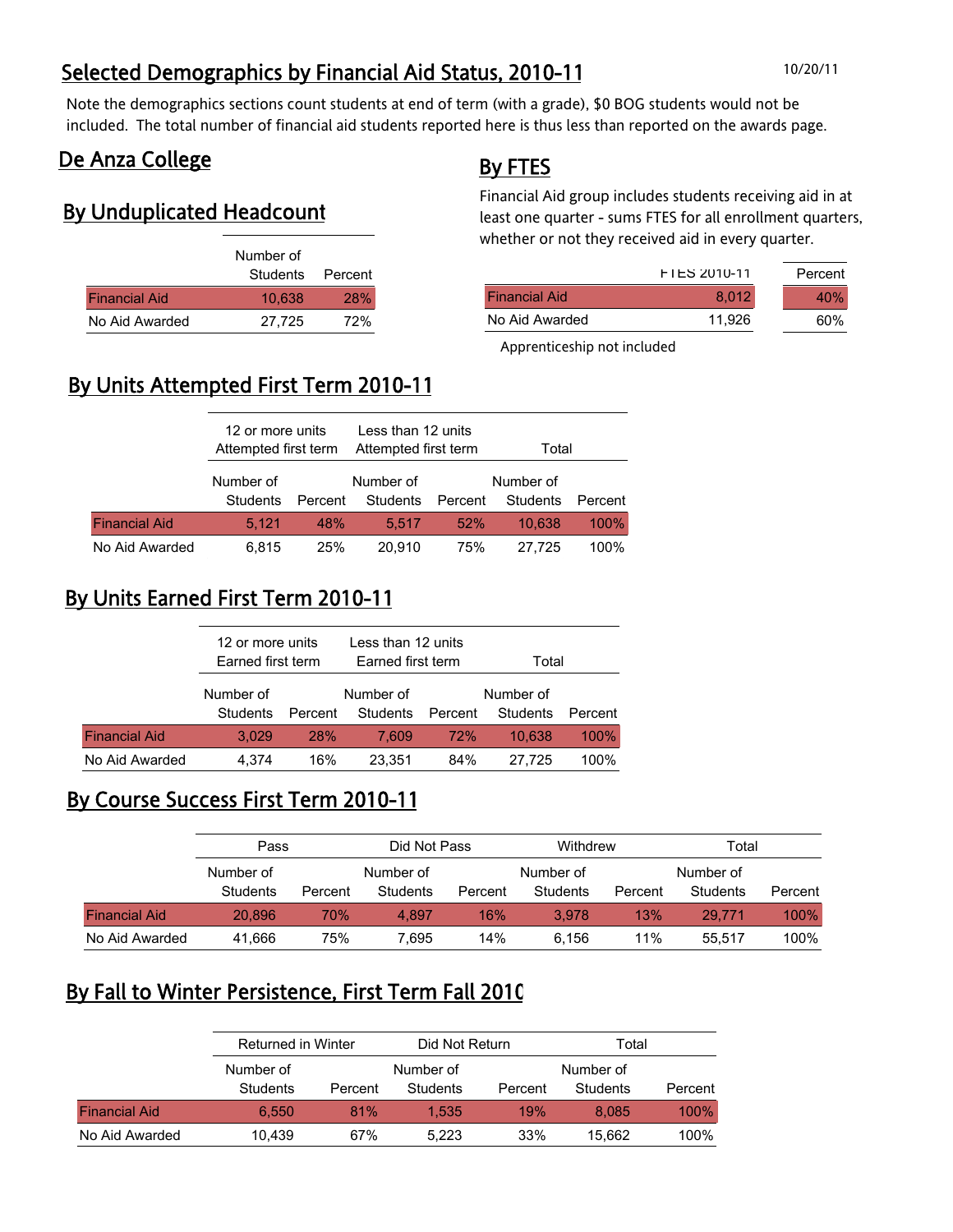## Selected Demographics by Financial Aid Status, 2010-11 10/20/11

Note the demographics sections count students at end of term (with a grade), \$0 BOG students would not be included. The total number of financial aid students reported here is thus less than reported on the awards page.

### De Anza College

### By Unduplicated Headcount

|                      | Number of        |            |
|----------------------|------------------|------------|
|                      | Students Percent |            |
| <b>Financial Aid</b> | 10.638           | <b>28%</b> |
| No Aid Awarded       | 27.725           | 72%        |

### By FTES

Financial Aid group includes students receiving aid in at least one quarter - sums FTES for all enrollment quarters, whether or not they received aid in every quarter.

|                      | <b>FIES 2010-11</b> | Percent |
|----------------------|---------------------|---------|
| <b>Financial Aid</b> | 8.012               | 40%     |
| No Aid Awarded       | 11.926              | 60%     |

Apprenticeship not included

## By Units Attempted First Term 2010-11

|                      | 12 or more units<br>Attempted first term |                 | Less than 12 units<br>Attempted first term |         | Total                 |         |  |
|----------------------|------------------------------------------|-----------------|--------------------------------------------|---------|-----------------------|---------|--|
|                      | Number of<br>Students                    | Percent         | Number of<br>Students                      | Percent | Number of<br>Students | Percent |  |
| <b>Financial Aid</b> | 5.121                                    | 48 <sup>%</sup> | 5.517                                      | 52%     | 10.638                | 100%    |  |
| No Aid Awarded       | 6.815                                    | <b>25%</b>      | 20.910                                     | 75%     | 27.725                | 100%    |  |

## By Units Earned First Term 2010-11

|                      | 12 or more units<br>Earned first term |            | Less than 12 units<br>Earned first term |         | Total                 |         |  |
|----------------------|---------------------------------------|------------|-----------------------------------------|---------|-----------------------|---------|--|
|                      | Number of<br>Students                 | Percent    | Number of<br>Students                   | Percent | Number of<br>Students | Percent |  |
| <b>Financial Aid</b> | 3.029                                 | <b>28%</b> | 7.609                                   | 72%     | 10.638                | 100%    |  |
| No Aid Awarded       | 4.374                                 | 16%        | 23.351                                  | 84%     | 27.725                | 100%    |  |

### By Course Success First Term 2010-11

|                      | Pass            |         | Did Not Pass |         | Withdrew  |         | Total     |         |
|----------------------|-----------------|---------|--------------|---------|-----------|---------|-----------|---------|
|                      | Number of       |         | Number of    |         | Number of |         | Number of |         |
|                      | <b>Students</b> | Percent | Students     | Percent | Students  | Percent | Students  | Percent |
| <b>Financial Aid</b> | 20.896          | 70%     | 4.897        | 16%     | 3.978     | 13%     | 29.771    | 100%    |
| No Aid Awarded       | 41,666          | 75%     | 695.′        | 14%     | 6.156     | 11%     | 55.517    | 100%    |

### By Fall to Winter Persistence, First Term Fall 2010

|                      | Returned in Winter |         | Did Not Return |         | Total     |         |
|----------------------|--------------------|---------|----------------|---------|-----------|---------|
|                      | Number of          |         | Number of      |         | Number of |         |
|                      | <b>Students</b>    | Percent | Students       | Percent | Students  | Percent |
| <b>Financial Aid</b> | 6.550              | 81%     | 1.535          | 19%     | 8.085     | 100%    |
| No Aid Awarded       | 10.439             | 67%     | 5.223          | 33%     | 15.662    | 100%    |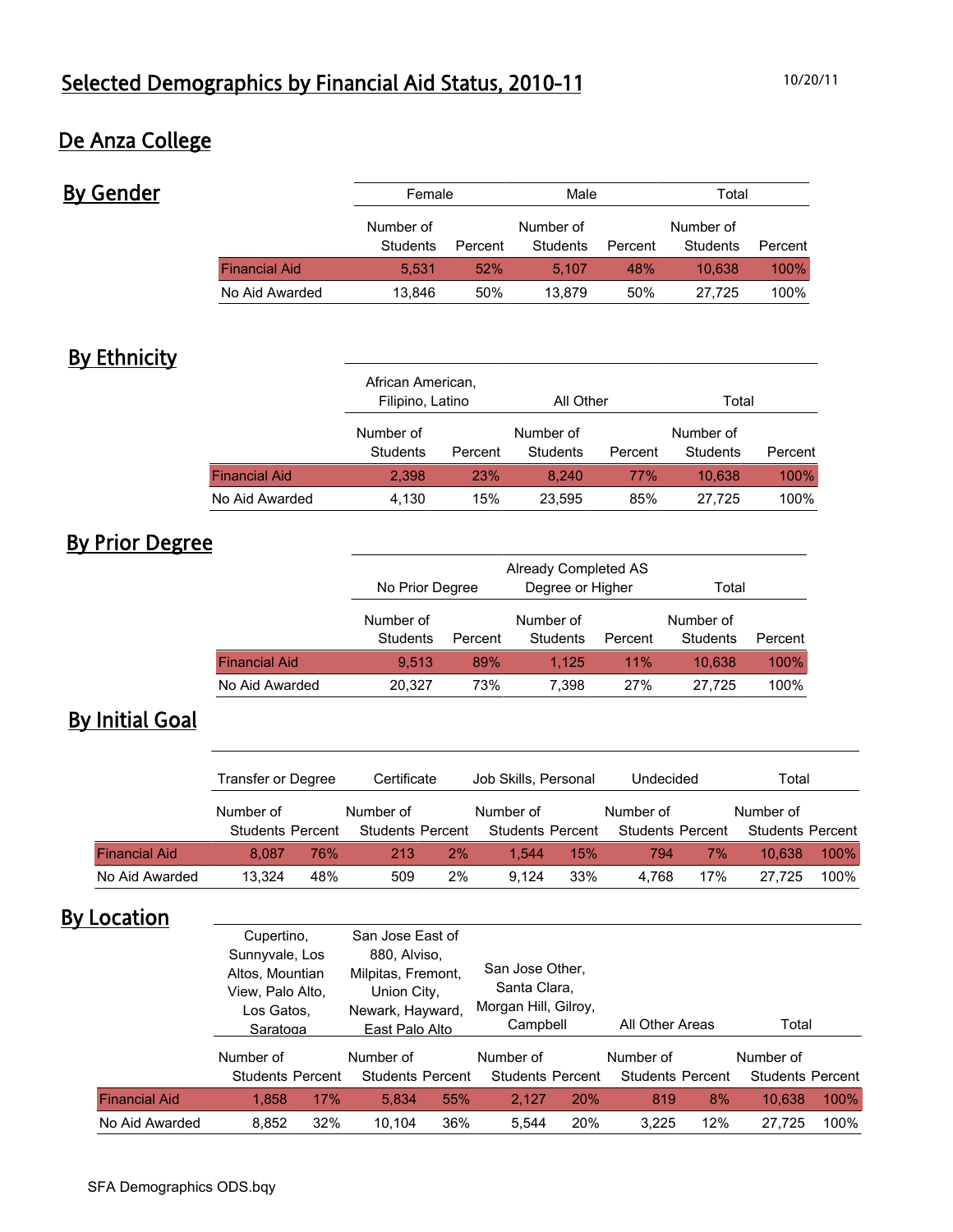## De Anza College

| <b>By Gender</b> |                      |                       | Female  |                       | Male    |                       | Total   |
|------------------|----------------------|-----------------------|---------|-----------------------|---------|-----------------------|---------|
|                  |                      | Number of<br>Students | Percent | Number of<br>Students | Percent | Number of<br>Students | Percent |
|                  | <b>Financial Aid</b> | 5.531                 | 52%     | 5.107                 | 48%     | 10.638                | 100%    |
|                  | No Aid Awarded       | 13,846                | 50%     | 13.879                | 50%     | 27.725                | 100%    |

## **By Ethnicity**

|                      | African American,<br>Filipino, Latino |            | All Other             |         | Total                 |         |  |
|----------------------|---------------------------------------|------------|-----------------------|---------|-----------------------|---------|--|
|                      | Number of<br>Students                 | Percent    | Number of<br>Students | Percent | Number of<br>Students | Percent |  |
| <b>Financial Aid</b> | 2.398                                 | <b>23%</b> | 8.240                 | 77%     | 10.638                | 100%    |  |
| No Aid Awarded       | 4,130                                 | 15%        | 23,595                | 85%     | 27.725                | 100%    |  |

## By Prior Degree

|                      | No Prior Degree       | Already Completed AS | Total                 |         |                              |         |
|----------------------|-----------------------|----------------------|-----------------------|---------|------------------------------|---------|
|                      | Number of<br>Students | Percent              | Number of<br>Students | Percent | Number of<br><b>Students</b> | Percent |
| <b>Financial Aid</b> | 9.513                 | 89%                  | 1.125                 | 11%     | 10.638                       | 100%    |
| No Aid Awarded       | 73%<br>20,327         |                      | 7.398                 | 27%     | 27.725                       | 100%    |

## By Initial Goal

|                      | Transfer or Degree      |     | Certificate             |    | Job Skills, Personal    |     | Undecided               |     | Total                   |         |
|----------------------|-------------------------|-----|-------------------------|----|-------------------------|-----|-------------------------|-----|-------------------------|---------|
|                      | Number of               |     | Number of               |    | Number of               |     | Number of               |     | Number of               |         |
|                      | <b>Students Percent</b> |     | <b>Students Percent</b> |    | <b>Students Percent</b> |     | <b>Students Percent</b> |     | <b>Students Percent</b> |         |
| <b>Financial Aid</b> | 8.087                   | 76% | 213                     | 2% | 1.544                   | 15% | 794                     | 7%  | 10.638                  | 100%    |
| No Aid Awarded       | 13.324                  | 48% | 509                     | 2% | 9.124                   | 33% | 4.768                   | 17% | 27.725                  | $100\%$ |

## **By Location**

|                      | Cupertino,<br>Sunnyvale, Los<br>Altos, Mountian<br>View, Palo Alto,<br>Los Gatos.<br>Saratoga<br>Number of<br><b>Students Percent</b> |     | San Jose East of<br>880, Alviso,<br>Milpitas, Fremont,<br>Union City,<br>Newark, Hayward,<br>East Palo Alto<br>Number of |                         | San Jose Other,<br>Santa Clara,<br>Morgan Hill, Gilroy,<br>Campbell<br>Number of |                         | All Other Areas |                         | Total     |                         |
|----------------------|---------------------------------------------------------------------------------------------------------------------------------------|-----|--------------------------------------------------------------------------------------------------------------------------|-------------------------|----------------------------------------------------------------------------------|-------------------------|-----------------|-------------------------|-----------|-------------------------|
|                      |                                                                                                                                       |     |                                                                                                                          |                         |                                                                                  |                         | Number of       |                         | Number of |                         |
|                      |                                                                                                                                       |     |                                                                                                                          | <b>Students Percent</b> |                                                                                  | <b>Students Percent</b> |                 | <b>Students Percent</b> |           | <b>Students Percent</b> |
| <b>Financial Aid</b> | 1.858                                                                                                                                 | 17% | 5.834                                                                                                                    | 55%                     | 2.127                                                                            | 20%                     | 819             | 8%                      | 10.638    | 100%                    |
| No Aid Awarded       | 8,852                                                                                                                                 | 32% | 10.104                                                                                                                   | 36%                     | 5.544                                                                            | 20%                     | 3.225           | 12%                     | 27.725    | 100%                    |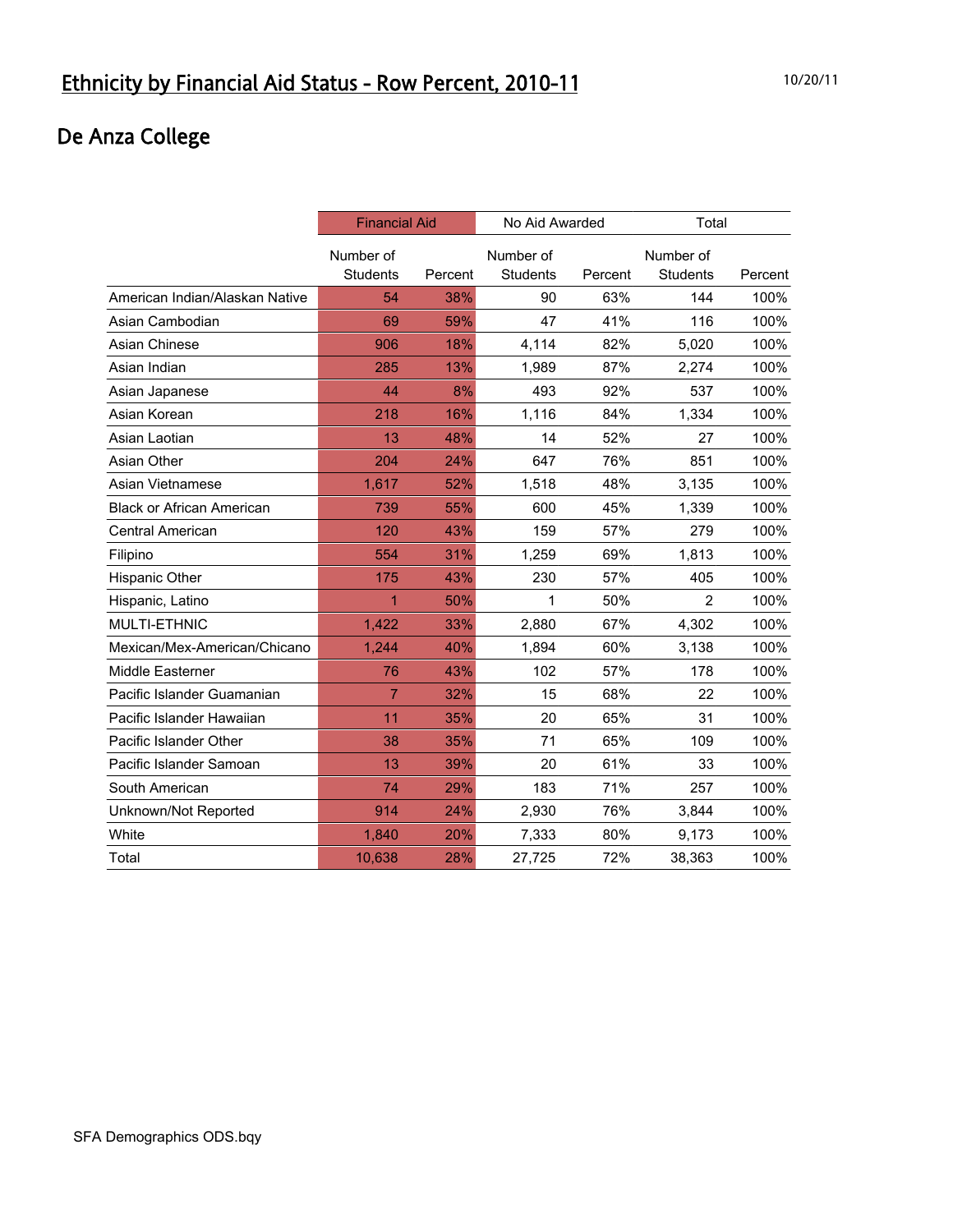# De Anza College

|                                  | <b>Financial Aid</b>         |         | No Aid Awarded        |         | Total                        |         |
|----------------------------------|------------------------------|---------|-----------------------|---------|------------------------------|---------|
|                                  | Number of<br><b>Students</b> | Percent | Number of<br>Students | Percent | Number of<br><b>Students</b> | Percent |
| American Indian/Alaskan Native   | 54                           | 38%     | 90                    | 63%     | 144                          | 100%    |
| Asian Cambodian                  | 69                           | 59%     | 47                    | 41%     | 116                          | 100%    |
| Asian Chinese                    | 906                          | 18%     | 4,114                 | 82%     | 5,020                        | 100%    |
| Asian Indian                     | 285                          | 13%     | 1,989                 | 87%     | 2,274                        | 100%    |
| Asian Japanese                   | 44                           | 8%      | 493                   | 92%     | 537                          | 100%    |
| Asian Korean                     | 218                          | 16%     | 1,116                 | 84%     | 1,334                        | 100%    |
| Asian Laotian                    | 13                           | 48%     | 14                    | 52%     | 27                           | 100%    |
| Asian Other                      | 204                          | 24%     | 647                   | 76%     | 851                          | 100%    |
| Asian Vietnamese                 | 1,617                        | 52%     | 1,518                 | 48%     | 3,135                        | 100%    |
| <b>Black or African American</b> | 739                          | 55%     | 600                   | 45%     | 1,339                        | 100%    |
| <b>Central American</b>          | 120                          | 43%     | 159                   | 57%     | 279                          | 100%    |
| Filipino                         | 554                          | 31%     | 1,259                 | 69%     | 1,813                        | 100%    |
| Hispanic Other                   | 175                          | 43%     | 230                   | 57%     | 405                          | 100%    |
| Hispanic, Latino                 | 1                            | 50%     | 1                     | 50%     | $\overline{2}$               | 100%    |
| MULTI-ETHNIC                     | 1,422                        | 33%     | 2,880                 | 67%     | 4,302                        | 100%    |
| Mexican/Mex-American/Chicano     | 1,244                        | 40%     | 1,894                 | 60%     | 3,138                        | 100%    |
| Middle Easterner                 | 76                           | 43%     | 102                   | 57%     | 178                          | 100%    |
| Pacific Islander Guamanian       | $\overline{7}$               | 32%     | 15                    | 68%     | 22                           | 100%    |
| Pacific Islander Hawaiian        | 11                           | 35%     | 20                    | 65%     | 31                           | 100%    |
| Pacific Islander Other           | 38                           | 35%     | 71                    | 65%     | 109                          | 100%    |
| Pacific Islander Samoan          | 13                           | 39%     | 20                    | 61%     | 33                           | 100%    |
| South American                   | 74                           | 29%     | 183                   | 71%     | 257                          | 100%    |
| Unknown/Not Reported             | 914                          | 24%     | 2,930                 | 76%     | 3,844                        | 100%    |
| White                            | 1,840                        | 20%     | 7,333                 | 80%     | 9,173                        | 100%    |
| Total                            | 10,638                       | 28%     | 27,725                | 72%     | 38,363                       | 100%    |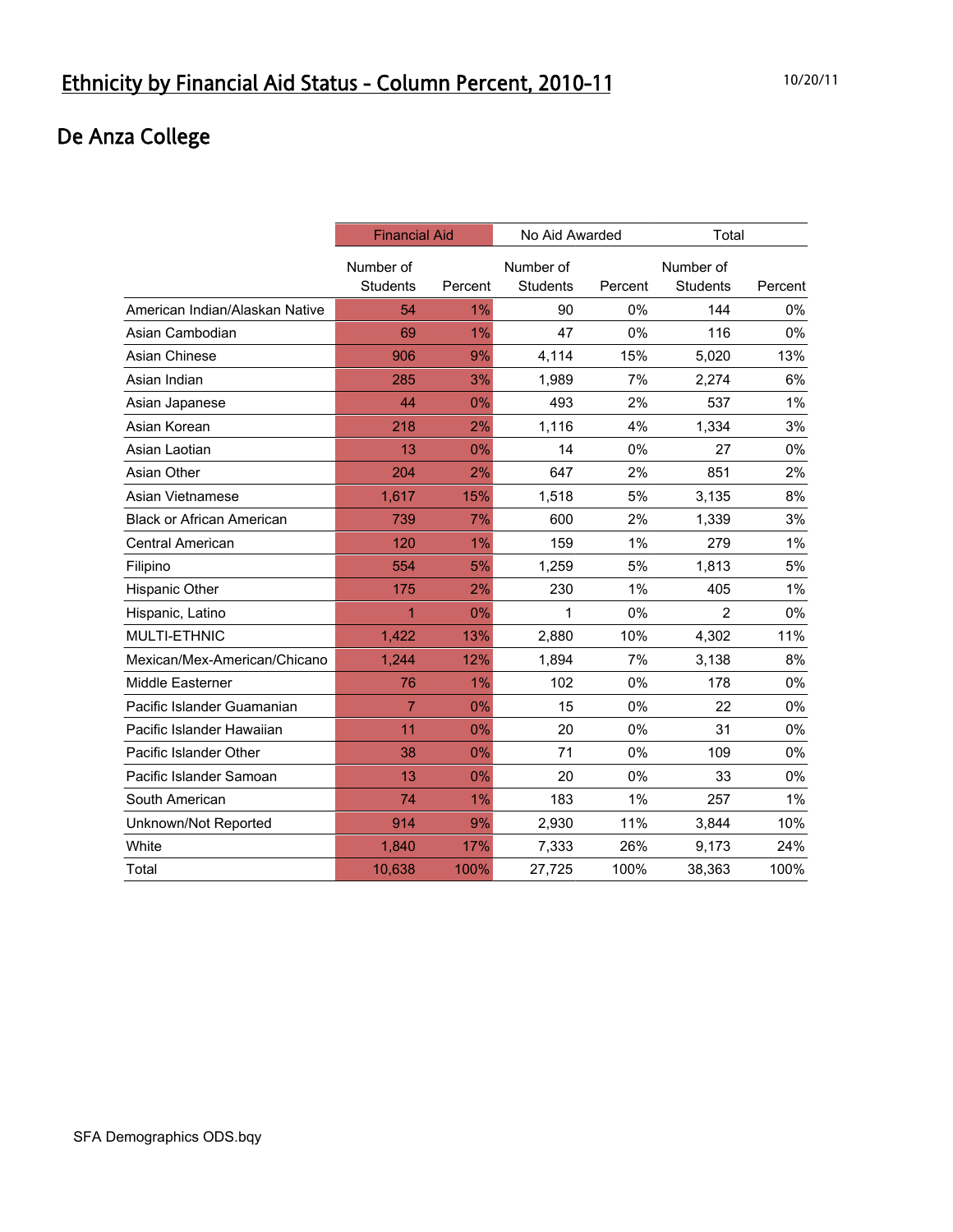# De Anza College

|                                  | <b>Financial Aid</b> |         | No Aid Awarded  |         | Total           |         |
|----------------------------------|----------------------|---------|-----------------|---------|-----------------|---------|
|                                  | Number of            |         | Number of       |         | Number of       |         |
|                                  | <b>Students</b>      | Percent | <b>Students</b> | Percent | <b>Students</b> | Percent |
| American Indian/Alaskan Native   | 54                   | $1\%$   | 90              | 0%      | 144             | $0\%$   |
| Asian Cambodian                  | 69                   | 1%      | 47              | 0%      | 116             | 0%      |
| Asian Chinese                    | 906                  | 9%      | 4,114           | 15%     | 5,020           | 13%     |
| Asian Indian                     | 285                  | 3%      | 1,989           | 7%      | 2,274           | 6%      |
| Asian Japanese                   | 44                   | 0%      | 493             | 2%      | 537             | 1%      |
| Asian Korean                     | 218                  | 2%      | 1,116           | 4%      | 1,334           | 3%      |
| Asian Laotian                    | 13                   | 0%      | 14              | 0%      | 27              | 0%      |
| Asian Other                      | 204                  | 2%      | 647             | 2%      | 851             | 2%      |
| Asian Vietnamese                 | 1,617                | 15%     | 1,518           | 5%      | 3,135           | 8%      |
| <b>Black or African American</b> | 739                  | 7%      | 600             | 2%      | 1,339           | 3%      |
| Central American                 | 120                  | 1%      | 159             | 1%      | 279             | 1%      |
| Filipino                         | 554                  | 5%      | 1,259           | 5%      | 1,813           | 5%      |
| Hispanic Other                   | 175                  | 2%      | 230             | 1%      | 405             | 1%      |
| Hispanic, Latino                 | 1                    | 0%      | 1               | 0%      | $\overline{2}$  | 0%      |
| MULTI-ETHNIC                     | 1,422                | 13%     | 2,880           | 10%     | 4,302           | 11%     |
| Mexican/Mex-American/Chicano     | 1,244                | 12%     | 1,894           | 7%      | 3,138           | 8%      |
| Middle Easterner                 | 76                   | $1\%$   | 102             | 0%      | 178             | 0%      |
| Pacific Islander Guamanian       | $\overline{7}$       | $0\%$   | 15              | 0%      | 22              | 0%      |
| Pacific Islander Hawaiian        | 11                   | 0%      | 20              | 0%      | 31              | 0%      |
| Pacific Islander Other           | 38                   | 0%      | 71              | 0%      | 109             | 0%      |
| Pacific Islander Samoan          | 13                   | 0%      | 20              | 0%      | 33              | 0%      |
| South American                   | 74                   | 1%      | 183             | 1%      | 257             | 1%      |
| Unknown/Not Reported             | 914                  | 9%      | 2,930           | 11%     | 3,844           | 10%     |
| White                            | 1.840                | 17%     | 7,333           | 26%     | 9,173           | 24%     |
| Total                            | 10,638               | 100%    | 27,725          | 100%    | 38,363          | 100%    |